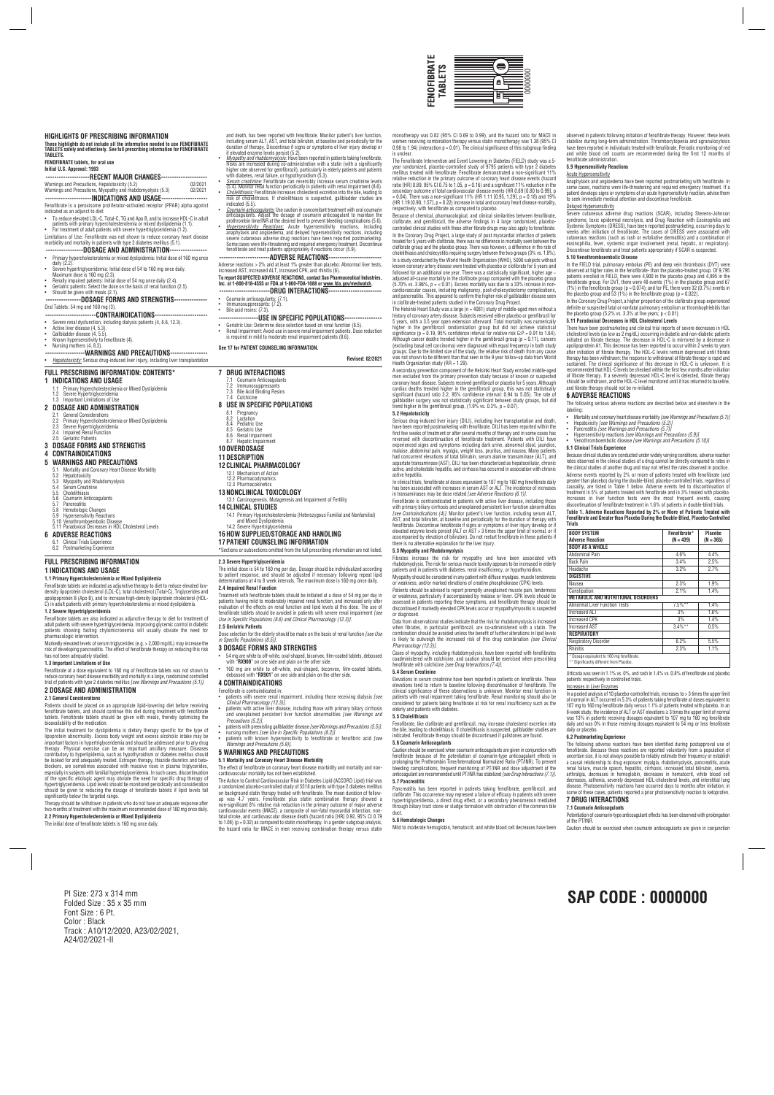is unclear.

The Fenofibrate Intervention and Event Lowering in Diabetes (FIELD) study was a 5 year randomized, placebo-controlled study of 9795 patients with type 2 diabetes mellitus treated with fenofibrate. Fenofibrate demonstrated a non-significant 11%<br>relative reduction in the primary outcome of coronary heart disease events (hazard<br>ratio [HR] 0.89, 95% Cl 0.75 to 1.05, p = 0.16) and a sig secondary outcome of total cardiovascular disease events (HR 0.89 [0.80 to 0.99], p = 0.04). There was a non-significant 11% (HR 1.11 [0.95, 1.29], p = 0.18) and 19% (HR  $1.19$  [0.90,  $1.57$ ],  $p = 0.22$ ) increase in total and coronary heart disease mortality respectively, with fenofibrate as compared to placebo. Because of chemical, pharmacological, and clinical similarities between fenofibrate, clofibrate, and gemfibrozil, the adverse findings in 4 large randomized, placebocontrolled clinical studies with these other fibrate drugs may also apply to fenofibrate. In the Coronary Drug Project, a large study of post myocardial infarction of patients treated for 5 years with clofibrate, there was no difference in mortality seen between the clofibrate group and the placebo group. There was however, a difference in the rate of cholelithiasis and cholecystitis requiring surgery between the two groups (3% vs. 1.8%).

In a study conducted by the World Health Organization (WHO), 5000 subjects without<br>known coronary artery disease were treated with placebo or clofibrate for 5 years and<br>followed for an additional one year. There was a stat cardiovascular causes, including malignancy, post-cholecystectomy complications, and pancreatitis. This appeared to confirm the higher risk of gallbladder disease seen in clofibrate-treated patients studied in the Coronary Drug Project. The Helsinki Heart Study was a large (n = 4081) study of middle-aged men without a history of coronary artery disease. Subjects received either placebo or gemfibrozil for 5 years, with a 3.5 year open extension afterward. Total mortality was numerically higher in the gemitiorozil randomization group but did not achieve statistical<br>significance (p = 0.19, 95% confidence interval for relative risk G:P = 0.91 to 1.64).<br>Although cancer deaths trended higher in the gemfibrozil groups. Due to the limited size of the study, the relative risk of death from any cause was not shown to be different than that seen in the 9 year follow-up data from World

A secondary prevention component of the Helsinki Heart Study enrolled middle-aged men excluded from the primary prevention study because of known or suspected coronary heart disease. Subjects received gemfibrozil or placebo for 5 years. Although<br>cardiac deaths trended higher in the gemfibrozil group, this was not statistically<br>significant (hazard ratio 2.2, 95% confidence interv

Serious drug-induced liver injury (DILI), including liver transplantation and death,<br>have been reported postmarketing with fenofibrate. DILI has been reported within the<br>first few weeks of treatment or after several months reversed with discontinuation of fenofibrate treatment. Patients with DILI have experienced signs and symptoms including dark urine, abnormal stool, jaundice, malaise, abdominal pain, myalgia, weight loss, pruritus, and nausea. Many patients<br>had concurrent elevations of total bilirubin, serum alanine transaminase (ALT), and<br>aspartate transaminase (AST). DILI has been characteriz

Data from observational studies indicate that the risk for rhabdomyolysis is increased when fibrates, in particular gemfibrozil, are co-administered with a statin. The<br>combination should be avoided unless the benefit of further alterations in lipid levels<br>is likely to outweigh the increased risk of this drug

**5.2 Hepatotoxicity**

active hepatitis.

In clinical trials, fenofibrate at doses equivalent to 107 mg to 160 mg fenofibrate daily has been associated with increases in serum AST or ALT. The incidence of increases in transaminases may be dose related *[see Adverse Reactions (6.1)]*.

Fenotibrate is contraindicated in patients with active liver disease, including those<br>with primary biliary cirrhosis and unexplained persistent liver function abnormalities<br>[*see Contraindications (4)].* Monitor patient's fenofibrate. Discontinue fenofibrate if signs or symptoms of liver injury develop or if elevated enzyme levels persist (ALT or AST > 3 times the upper limit of normal, or if<br>accompanied by elevation of bilirubin). Do not restart fenofibrate in these patients if<br>there is no alternative explanation for the live

Severe cutaneous adverse drug reactions (SCAR), including Stevens-Johnson<br>syndrome, toxic epidermal necrolysis, and Drug Reaction with Eosinophilia and<br>Systemic Symptoms (DRESS), have been reported postmarketing, occurring cutaneous reactions (such as rash or exfoliative dermatitis) and a combination of eosinophilia, fever, systemic organ involvement (renal, hepatic, or respiratory). Discontinue fenofibrate and treat patients appropriately if SCAR is suspected.

In the FIELD trial, pulmonary embolus (PE) and deep vein thrombosis (DVT) were<br>observed at higher rates in the fenofibrate- than the placebo-treated group. Of 9,795<br>patients enrolled in FIELD, there were 4,900 in the place (1%) in the fenofibrate group (p = 0.074); and for PE, there were 32 (0.7%) events in the placebo group and 53 (1%) in the fenofibrate group (p = 0.022). In the Coronary Drug Project, a higher proportion of the clofibrate group experienced definite or suspected fatal or nonfatal pulmonary embolism or thrombophlebitis than

There have been postmarketing and clinical trial reports ot severe decreases in HDL<br>cholesterol levels (as low as 2 mg/dL) occurring in diabetic and non-diabetic patients<br>initiated on fibrate therapy. The decrease in HDL-C apolipoprotein A1. This decrease has been reported to occur within 2 weeks to years<br>after initiation of fibrate therapy. The HDL-C levels remain depressed until fibrate

after initiation of thorate therapy. The HDL-C levels remain depressed until thicate<br>therapy has been withdrawn; the response to withdrawal of fibrate therapy is rapid and<br>sustained. The clinical significance of this decre

**5.3 Myopathy and Rhabdomyolysis**

Fibrates increase the risk for myopathy and have been associated with rhabdomyolysis. The risk for serious muscle toxicity appears to be increased in elderly patients and in patients with diabetes, renal insufficiency, or hypothyroidism. Myopathy should be considered in any patient with diffuse myalgias, muscle tenderness or weakness, and/or marked elevations of creatine phosphokinase (CPK) levels. Patients should be advised to report promptly unexplained muscle pain, tender or weakness, particularly if accompanied by malaise or fever. CPK levels should be assessed in patients reporting these symptoms, and fenofibrate therapy should be discontinued if markedly elevated CPK levels occur or myopathy/myositis is suspected

or diagnosed.

 $A$  **Adverse Reaction BODY AS A WHOLE**

*Pharmacology (12.3)]*.

Cases of myopathy, including rhabdomyolysis, have been reported with fenofibrates coadministered with colchicine, and caution should be exercised when prescribing

Respiratory Disorder 6.2% 5.5% 5.5% 5.5% 5.1% Rhinitis 2.3% 1.1%

fenofibrate with colchicine *[see Drug Interactions (7.4)]*.

trend higher in the gemfibrozil group,  $(1.9\%$  vs. 0.3%, p = 0.07).

Health Organization study (RR = 1.29).

patients respectively in controlled trials. **Increases in Liver Enzymes** 

**5.4 Serum Creatinine**

Elevations in serum creatinine have been reported in patients on fenofibrate. These elevations tend to return to baseline following discontinuation of fenofibrate. The clinical significance of these observations is unknown. Monitor renal function in patients with renal impairment taking fenofibrate. Renal monitoring should also be considered for patients taking fenofibrate at risk for renal insufficiency such as the elderly and patients with diabetes.

In a pooled analysis of 10 placebo-controlled trials, increases to  $>$  3 times the upper limit of normal in ALT occurred in 5.3% of patients taking fenofibrate at doses equivalent to<br>107 mg to 160 mg fenofibrate daily versus 1.1% of patients treated with placebo. In an<br>8-week study, the incidence of ALT or AST elev daily and was 0% in those receiving dosages equivalent to 54 mg or less fenofibrate

The following adverse reactions have been identified during postapproval use of<br>fenofibrate. Because these reactions are reported voluntarily from a population of<br>uncertain size, it is not always possible to reliably estim a causal relationship to drug exposure: myalgia, rhabdomyolysis, pancreatitis, acute renal failure, muscle spasm, hepatitis, cirrhosis, increased total bilirubin, anemia, arthralgia, decreases in hemoglobin, decreases in hematocrit, white blood cell<br>decreases, asthenia, severely depressed HDL-cholesterol levels, and interstitial lung<br>disease. Photosensitivity reactions have occurred days to

**5.5 Cholelithiasis**

Fenofibrate, like clofibrate and gemfibrozil, may increase cholesterol excretion into the bile, leading to cholelithiasis. If cholelithiasis is suspected, gallbladder studies are indicated. Fenofibrate therapy should be discontinued if gallstones are found.

**5.6 Coumarin Anticoagulants**

Caution should be exercised when coumarin anticoagulants are given in conjunction with fenofibrate because of the potentiation of coumarin-type anticoagulant effects in prolonging the Prothrombin Time/International Normalized Ratio (PT/INR). To prevent bleeding complications, frequent monitoring of PT/INR and dose adjustment of the anticoagulant are recommended until PT/INR has stabilized *[see Drug Interactions (7.1)]*.

These highlights do not include all the information needed to use FENOFIBRATE<br>TABLETS safely and effectively. See full prescribing information for FENOFIBRATE **TABLETS.**

## **-------RECENT MAJOR CHANGES----------------------**<br> **Frecautions, Hepatotoxicity (5.2)** 02/2021<br> **Frecautions, Myopathy and rhabdomyolysis (5.3)** 02/2021 Warnings and Precautions, Hepatotoxicity (5.2) 02/2021 Warnings and Precautions, Myopathy and rhabdomyolysis (5.3) 02/2021

**5.7 Pancreatitis**

- patients with primary hypercholesterolemia or mixed dyslipidemia (1.1). For treatment of adult patients with severe hypertriglyceridemia (1.2).
- 
- Limitations of Use: Fenofibrate was not shown to reduce coronary heart disease morbidity and mortality in patients with type 2 diabetes mellitus (5.1).
- 
- $-$ DOSAGE AND ADMINISTRATION--
- Primary hypercholesterolemia or mixed dyslipidemia: Initial dose of 160 mg once
- 
- 
- daily (2.2).<br>Severe hypertriglyceridemia: Initial dose of 54 to 160 mg once daily.<br>Maximum dose is 160 mg (2.3).<br>• Renally impaired patients: Initial dose of 54 mg once daily (2.4).<br>• Geriatric patients: Select the dose o
- 

Pancreatitis has been reported in patients taking fenofibrate, gemfibrozil, and clofibrate. This occurrence may represent a failure of efficacy in patients with severe hypertriglyceridemia, a direct drug effect, or a secondary phenomenon mediated through biliary tract stone or sludge formation with obstruction of the common bile

duct.

**5.8 Hematologic Changes**

observed in patients following initiation of fenofibrate therapy. However, these levels stabilize during long-term administration. Thrombocytopenia and agranulocytosis have been reported in individuals treated with fenofibrate. Periodic monitoring of red and white blood cell counts are recommended during the first 12 months of

Anaphylaxis and angioedema have been reported postmarketing with fenofibrate. In<br>some cases, reactions were life-threatening and required emergency treatment. If a<br>patient develops signs or symptoms of an acute hypersensit

fenofibrate administration. **5.9 Hypersensitivity Reactions** Acute Hypersensitivity

Delayed Hypersensitivity

- with diabetes, renal tailure, or hypothyroidism (5.3).<br>
Serum creatining: Fenofibrate can reversibly increase serum creatinine levels<br>
(5.4). Monitor renal function periodically in patients with renal impairment (8.6).<br>
Ch
- 
- indicated (5.5).<br>Courrain anticoagulants: Use caution in concomitant treatment with oral courrain<br>anticoagulants. Adjust the dosage of courrarin anticoagulant to maintain the<br>prothrombin time/INR at the desired level to p
- severe cutaneous adverse drug reactions have been reported postmarketing.<br>Some cases were life-threatening and required emergency treatment. Discontinue<br>fenofibrate and treat patients appropriately if reactions occur (5.9) **-----------------------ADVERSE REACTIONS------------------------**
- Adverse reactions > 2% and at least 1% greater than placebo: Abnormal liver tests, increased AST, increased ALT, increased CPK, and rhinitis (6).

#### To report SUSPECTED ADVERSE REACTIONS, contact Sun Pharmaceutical Industries,<br>Inc. at 1-800-818-4555 or FDA at 1-800-FDA-1088 or <u>www.fda.gov/medwatch</u>. **-----------------------DRUG INTERACTIONS------------------------**

- 
- Coumarin anticoagulants: (7.1). Immunosuppressants: (7.2). Bile acid resins: (7.3).

**5.10 Venothromboembolic Disease**

the placebo group (5.2% vs. 3.3% at five years; p < 0.01). **5.11 Paradoxical Decreases in HDL Cholesterol Levels**

Coumarin Anticoagulants 7.2 Immunosuppressants 7.3 Bile Acid Binding Resins  $7.1$ <br> $7.2$ <br> $7.3$ <br> $7.4$ **8 USE IN SPECIFIC POPULATIONS** 8.1 Pregnancy 8.2 Lactation 8.4 Pediatric Use 8.5 Geriatric Use 8.6 Renal Impairment 8.7 Hepatic Impairment **10 OVERDOSAGE 11 DESCRIPTION 12 CLINICAL PHARMACOLOGY** 12.1 Mechanism of Action 12.2 Pharmacodynamics 12.3 Pharmacokinetics **13 NONCLINICAL TOXICOLOGY** 13.1 Carcinogenesis, Mutagenesis and Impairment of Fertility

and wiked Dysupluemia<br>14.2 Severe Hypertriglyceridem **16 HOW SUPPLIED/STORAGE AND HANDLING**

and fibrate therapy should not be re-initiated. **6 ADVERSE REACTIONS**

Patients should be placed on an appropriate lipid-lowering diet before receiving<br>fenofibrate tablets, and should continue this diet during treatment with fenofibrate<br>tablets. Fenofibrate tablets should be given with meals, bioavailability of the medication.

The initial treatment for dyslipidemia is dietary therapy specific for the type of lipoprotein abnormality. Excess body weight and excess alcoholic intake may be important factors in hypertriglyceridemia and should be addressed prior to any drug therapy. Physical exercise can be an important ancillary measure. Diseases contributory to hyperlipidemia, such as hypothyroidism or diabetes mellitus should<br>be looked for and adequately treated. Estrogen therapy, thiazide diuretics and beta-<br>blockers, are sometimes associated with massive rises hypertriglyceridemia. Lipid levels should be monitored periodically and consideration should be given to reducing the dosage of fenofibrate tablets if lipid levels fall should be given to requently the 200<br>significantly below the targeted range.

The following serious adverse reactions are described below and elsewhere in the

labeling:

• Mortality and coronary heart disease morbidity *[see Warnings and Precautions (5.1)]*

• Hepatoxicity *[see Warnings and Precautions (5.2)]* • Pancreatitis *[see Warnings and Precautions (5.7)]*

• Hypersensitivity reactions *[see Warnings and Precautions (5.9)]* • Venothromboembolic disease *[see Warnings and Precautions (5.10)]*

**6.1 Clinical Trials Experience**

Because clinical studies are conducted under widely varying conditions, adverse reaction rates observed in the clinical studies of a drug cannot be directly compared to rates in the clinical studies of another drug and may not reflect the rates observed in practice. Adverse events reported by 2% or more of patients treated with fenofibrate (and greater than placebo) during the double-blind, placebo-controlled trials, regardless of causality, are listed in Table 1 below. Adverse events led to discontinuation of treatment in 5% of patients treated with fenofibrate and in 3% treated with placebo. Increases in liver function tests were the most frequent events, causing discontinuation of fenofibrate treatment in 1.6% of patients in double-blind trials. **Table 1. Adverse Reactions Reported by 2% or More of Patients Treated with Fenofibrate and Greater than Placebo During the Double-Blind, Placebo-Controlled**

**Trials**

**BODY SYSTEM Fenofibrate\* Placebo**

Abdominal Pain 4.6% 4.4% Back Pain 3.4% 2.5% Headache 3.2% 2.7%

**DIGESTIVE**

Nausea 2.3% 1.9% Constipation 2.1% 1.4%

Abnormal Liver Function Tests 7.5%\*\* 1.4%<br>  $\frac{7.5\%}{3\%}$  1.6%<br>
3% Increased ALT 3% 1.6%  $\begin{array}{c|c|c|c|c} \text{Increase } \text{OPK} & \text{3\%} & \text{1.4\%} \\ \text{Increase } \text{AST} & \text{3.4\%}^{**} & \text{0.5\%} \\ \end{array}$ Increased AST  $\vert$  3.4%\*\*  $\vert$  0.5%

**METABOLIC AND NUTRITIONAL DISORDERS**

Dosage equivalent to 160 mg fenofibrate \* Significantly different from Placebo.

The Action to Control Cardiovascular Risk in Diabetes Lipid (ACCORD Lipid) trial was a randomized placebo-controlled study of 5518 patients with type 2 diabetes mellitus on background statin therapy treated with fenofibrate. The mean duration of followup was 4.7 years. Fenotibrate plus statin combination therapy showed a<br>non-significant 8% relative risk reduction in the primary outcome of major adverse<br>cardiovascular events (MACE), a composite of non-fatal myocardial in fatal stroke, and cardiovascular disease death (hazard ratio [HR] 0.92, 95% CI 0.79 to  $1.08$ ) ( $p = 0.32$ ) as compared to statin monotherapy. In a gender subgroup analysis

**RESPIRATORY**

Urticaria was seen in 1.1% vs. 0%, and rash in 1.4% vs. 0.8% of fenofibrate and placebo

daily or placebo. **6.2 Postmarketing Experience**

**7 DRUG INTERACTIONS 7.1 Coumarin Anticoagulants**

Potentiation of coumarin-type anticoagulant effects has been observed with prolongation

of the PT/INR.

**FEN**

**OFIBR A TE T ABLET S**

0000000

PI Size: 273 x 314 mm Folded Size : 35 x 35 mm Font Size : 6 Pt. Color : Black Track : A10/12/2020, A23/02/2021, A24/02/2021-II

# **SAP CODE : 0000000**

### **HIGHLIGHTS OF PRESCRIBING INFORMATION**

### **FENOFIBRATE tablets, for oral use**

## **Initial U.S. Approval: 1993**

**---------------------INDICATIONS AND USAGE---------------------**

## Fenofibrate is a peroxisome proliferator-activated receptor (PPAR) alpha agonist

indicated as an adjunct to diet: • To reduce elevated LDL-C, Total-C, TG and Apo B, and to increase HDL-C in adult

## **----------------DOSAGE FORMS AND STRENGTHS---------------**

Oral Tablets: 54 mg and 160 mg (3).

## **-----------------------CONTRAINDICATIONS------------------------**

- 
- Severe renal dysfunction, including dialysis patients (4, 8.6, 12.3). Active liver disease (4, 5.3).
- Gallbladder disease (4, 5.5).
- 
- Known hypersensitivity to fenofibrate (4). Nursing mothers (4, 8.2).
- **------------------WARNINGS AND PRECAUTIONS-----------------**

## • *Hepatotoxicity:* Serious drug-induced liver injury, including liver transplantation

and death, has been reported with fenofibrate. Monitor patient's liver function, including serum ALT, AST, and total bilirubin, at baseline and periodically for the duration of therapy. Discontinue if signs or symptoms of liver injury develop or if elevated enzyme levels persist (5.2).

• *M<u>yopathy and rhabdomyolysis:</u>* Have been reported in patients taking fenofibrate.<br>Fisks are increased during co-administration with a statin (with a significantly<br>higher rate observed for gemfibrozil), particularly in

Mild to moderate hemoglobin, hematocrit, and white blood cell decreases have been Caution should be exercised when coumarin anticoagulants are given in conjunction the hazard ratio for MACE in men receiving combination therapy versus statin

monotherapy was 0.82 (95% CI 0.69 to 0.99), and the hazard ratio for MACE in women receiving combination therapy versus statin monotherapy was 1.38 (95% CI 0.98 to 1.94) (interaction  $p = 0.01$ ). The clinical significance of this subgroup finding

#### **------------------USE IN SPECIFIC POPULATIONS-----------------**

- Geriatric Use: Determine dose selection based on renal function (8.5). Renal Impairment: Avoid use in severe renal impairment patients. Dose reduction
- is required in mild to moderate renal impairment patients (8.6). **See 17 for PATIENT COUNSELING INFORMATION.**

## **Revised: 02/2021**

**FULL PRESCRIBING INFORMATION: CONTENTS\***

#### **1 INDICATIONS AND USAGE**

1.1 Primary Hypercholesterolemia or Mixed Dyslipidemia 1.2 Severe Hypertriglyceridemia 1.3 Important Limitations of Use

- **2 DOSAGE AND ADMINISTRATION**
- 2.1 General Considerations
- 
- 
- 2.2 Primary Hypercholesterolemia or Mixed Dyslipidemia 2.3 Severe Hypertriglyceridemia 2.4 Impaired Renal Function 2.5 Geriatric Patients
- 
- **3 DOSAGE FORMS AND STRENGTHS**
- **4 CONTRAINDICATIONS**
- **5 WARNINGS AND PRECAUTIONS**
- 5.1 Mortality and Coronary Heart Disease Morbidity 5.2 Hepatotoxicity
- 5.2 Hepatotoxicity<br>5.3 Myopathy and Rhabdomyolysis<br>5.4 Serum Creatinine
- 5.4 Serum Creatinine 5.5 Cholelithiasis
- 
- 5.5 Coumarin Anticoagulants<br>5.7 Pancreatitis
- 
- 
- 5.7 Pancreatitis 5.8 Hematologic Changes 5.9 Hypersensitivity Reactions 5.10 Venothromboembolic Disease 5.11 Paradoxical Decreases in HDL Cholesterol Levels **6 ADVERSE REACTIONS**
- 
- 6.1 Clinical Trials Experience 6.2 Postmarketing Experience

# **7 DRUG INTERACTIONS**

## **14 CLINICAL STUDIES** 14.1 Primary Hypercholesterolemia (Heterozygous Familial and Nonfamilial) and Mixed Dyslipidemia

## **17 PATIENT COUNSELING INFORMATION**

#### **FULL PRESCRIBING INFORMATION**

#### **1 INDICATIONS AND USAGE**

**1.1 Primary Hypercholesterolemia or Mixed Dyslipidemia**

Fenotibrate tablets are indicated as adjunctive therapy to diet to reduce elevated low-<br>density lipoprotein cholesterol (LDL-C), total cholesterol (Total-C), Triglycerides and<br>apolipoprotein B (Apo B), and to increase high

#### **1.2 Severe Hypertriglyceridemia**

Fenofibrate tablets are also indicated as adjunctive therapy to diet for treatment of adult patients with severe hypertriglyceridemia. Improving glycemic control in diabetic patients showing fasting chylomicronemia will usually obviate the need for pharmacologic intervention.

Markedly elevated levels of serum triglycerides (e.g. > 2,000 mg/dL) may increase the risk of developing pancreatitis. The effect of fenofibrate therapy on reducing this risk has not been adequately studied.

#### **1.3 Important Limitations of Use**

Fenofibrate at a dose equivalent to 160 mg of fenofibrate tablets was not shown to reduce coronary heart disease morbidity and mortality in a large, randomized controlled trial of patients with type 2 diabetes mellitus *[see Warnings and Precautions (5.1)]*.

## **2 DOSAGE AND ADMINISTRATION**

**2.1 General Considerations**

**\***Sections or subsections omitted from the full prescribing information are not listed. **2.3 Severe Hypertriglyceridemia**

Therapy should be withdrawn in patients who do not have an adequate response after two months of treatment with the maximum recommended dose of 160 mg once daily. **2.2 Primary Hypercholesterolemia or Mixed Dyslipidemia**

#### The initial dose of fenofibrate tablets is 160 mg once daily.

The initial dose is 54 to 160 mg per day. Dosage should be individualized according to patient response, and should be adjusted if necessary following repeat lipid determinations at 4 to 8 week intervals. The maximum dose is 160 mg once daily. **2.4 Impaired Renal Function**

# Treatment with tenotibrate tablets should be initiated at a dose of 54 mg per day in<br>patients having mild to moderately impaired renal function, and increased only after<br>evaluation of the effects on renal function and lipi

*Use in Specific Populations (8.6) and Clinical Pharmacology (12.3)].* **2.5 Geriatric Patients**

Dose selection for the elderly should be made on the basis of renal function *[see Use in Specific Populations (8.5)]*.

#### **3 DOSAGE FORMS AND STRENGTHS**

- 54 mg are white to off-white, oval-shaped, biconvex, film-coated tablets, debossed with "**RX900**" on one side and plain on the other side.
- 160 mg are white to off-white, oval-shaped, biconvex, film-coated tablets, debossed with "**RX901**" on one side and plain on the other side.

#### **4 CONTRAINDICATIONS**

Fenofibrate is contraindicated in: • patients with severe renal impairment, including those receiving dialysis *[see*

*Clinical Pharmacology (12.3)].*<br>• patients with active liver disease, including those with primary biliary cirrhosis<br>and unexplained persistent liver function abnormalities *[see Warnings and* 

*Precautions (5.2)]*.

• patients with preexisting gallbladder disease *[see Warnings and Precautions (5.5)]*.

• nursing mothers *[see Use in Specific Populations (8.2)]*

• patients with known hypersensitivity to fenofibrate or fenofibric acid *[see Warnings and Precautions (5.9)].*

**5 WARNINGS AND PRECAUTIONS 5.1 Mortality and Coronary Heart Disease Morbidity**

The effect of fenofibrate on coronary heart disease morbidity and mortality and non-

cardiovascular mortality has not been established.